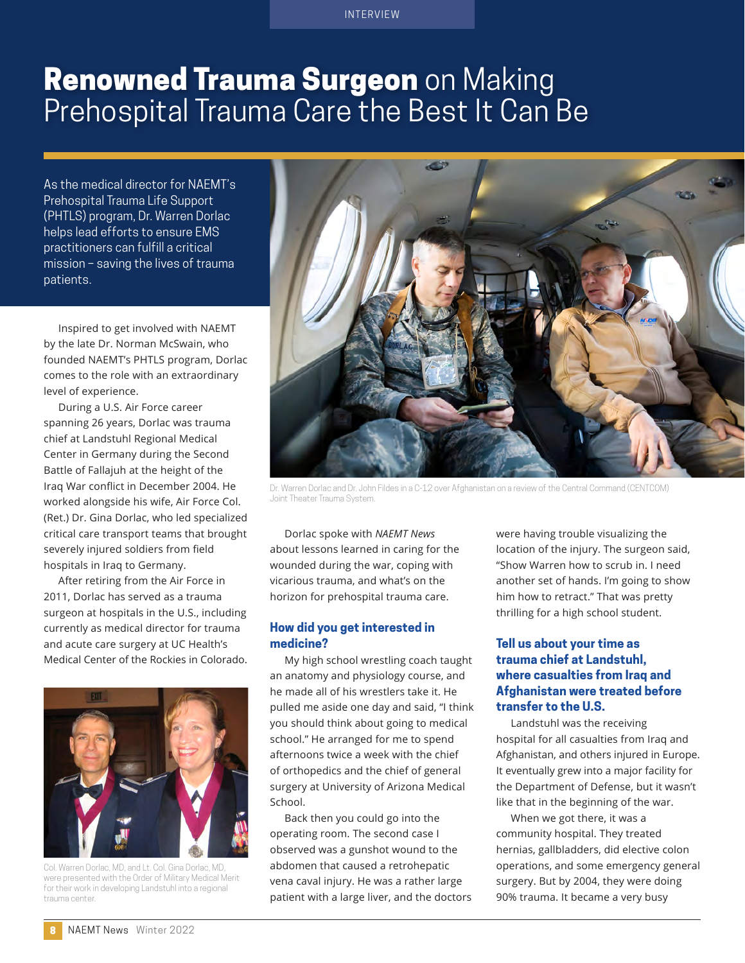#### INTERVIEW

# **Renowned Trauma Surgeon** on Making Prehospital Trauma Care the Best It Can Be

As the medical director for NAEMT's Prehospital Trauma Life Support (PHTLS) program, Dr. Warren Dorlac helps lead efforts to ensure EMS practitioners can fulfill a critical mission – saving the lives of trauma patients.

Inspired to get involved with NAEMT by the late Dr. Norman McSwain, who founded NAEMT's PHTLS program, Dorlac comes to the role with an extraordinary level of experience.

During a U.S. Air Force career spanning 26 years, Dorlac was trauma chief at Landstuhl Regional Medical Center in Germany during the Second Battle of Fallajuh at the height of the Iraq War conflict in December 2004. He worked alongside his wife, Air Force Col. (Ret.) Dr. Gina Dorlac, who led specialized critical care transport teams that brought severely injured soldiers from field hospitals in Iraq to Germany.

After retiring from the Air Force in 2011, Dorlac has served as a trauma surgeon at hospitals in the U.S., including currently as medical director for trauma and acute care surgery at UC Health's Medical Center of the Rockies in Colorado.



Col. Warren Dorlac, MD, and Lt. Col. Gina Dorlac, MD, were presented with the Order of Military Medical Merit for their work in developing Landstuhl into a regional trauma center.



Dr. Warren Dorlac and Dr. John Fildes in a C-12 over Afghanistan on a review of the Central Command (CENTCOM) Joint Theater Trauma System.

Dorlac spoke with *NAEMT News* about lessons learned in caring for the wounded during the war, coping with vicarious trauma, and what's on the horizon for prehospital trauma care.

#### **How did you get interested in medicine?**

My high school wrestling coach taught an anatomy and physiology course, and he made all of his wrestlers take it. He pulled me aside one day and said, "I think you should think about going to medical school." He arranged for me to spend afternoons twice a week with the chief of orthopedics and the chief of general surgery at University of Arizona Medical School.

Back then you could go into the operating room. The second case I observed was a gunshot wound to the abdomen that caused a retrohepatic vena caval injury. He was a rather large patient with a large liver, and the doctors

were having trouble visualizing the location of the injury. The surgeon said, "Show Warren how to scrub in. I need another set of hands. I'm going to show him how to retract." That was pretty thrilling for a high school student.

#### **Tell us about your time as trauma chief at Landstuhl, where casualties from Iraq and Afghanistan were treated before transfer to the U.S.**

Landstuhl was the receiving hospital for all casualties from Iraq and Afghanistan, and others injured in Europe. It eventually grew into a major facility for the Department of Defense, but it wasn't like that in the beginning of the war.

When we got there, it was a community hospital. They treated hernias, gallbladders, did elective colon operations, and some emergency general surgery. But by 2004, they were doing 90% trauma. It became a very busy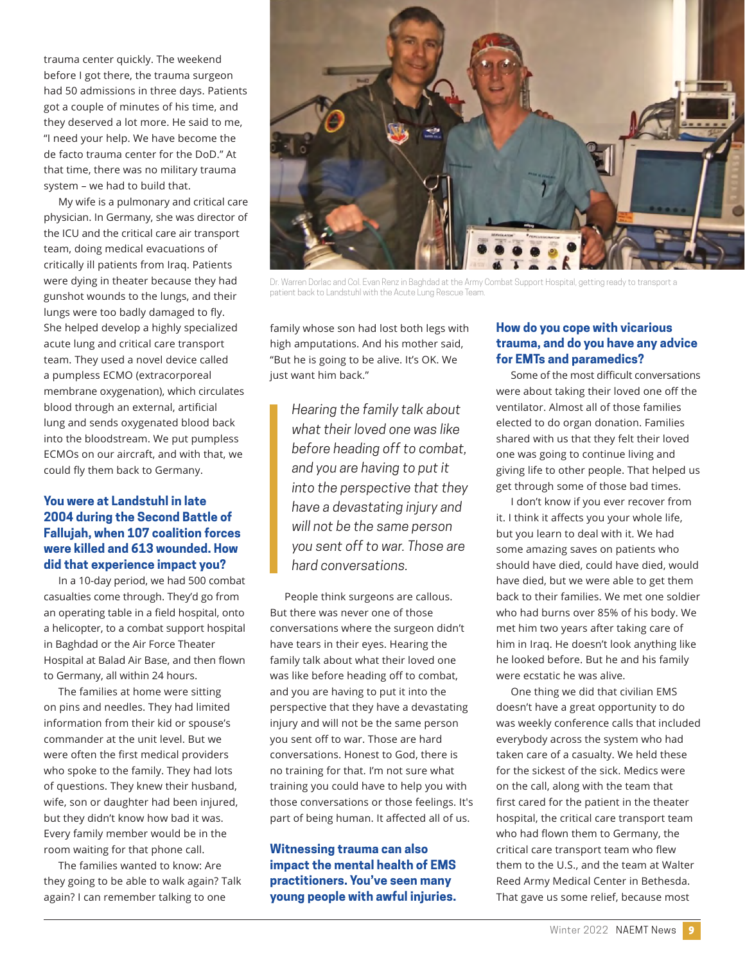trauma center quickly. The weekend before I got there, the trauma surgeon had 50 admissions in three days. Patients got a couple of minutes of his time, and they deserved a lot more. He said to me, "I need your help. We have become the de facto trauma center for the DoD." At that time, there was no military trauma system – we had to build that.

My wife is a pulmonary and critical care physician. In Germany, she was director of the ICU and the critical care air transport team, doing medical evacuations of critically ill patients from Iraq. Patients were dying in theater because they had gunshot wounds to the lungs, and their lungs were too badly damaged to fly. She helped develop a highly specialized acute lung and critical care transport team. They used a novel device called a pumpless ECMO (extracorporeal membrane oxygenation), which circulates blood through an external, artificial lung and sends oxygenated blood back into the bloodstream. We put pumpless ECMOs on our aircraft, and with that, we could fly them back to Germany.

## **You were at Landstuhl in late 2004 during the Second Battle of Fallujah, when 107 coalition forces were killed and 613 wounded. How did that experience impact you?**

In a 10-day period, we had 500 combat casualties come through. They'd go from an operating table in a field hospital, onto a helicopter, to a combat support hospital in Baghdad or the Air Force Theater Hospital at Balad Air Base, and then flown to Germany, all within 24 hours.

The families at home were sitting on pins and needles. They had limited information from their kid or spouse's commander at the unit level. But we were often the first medical providers who spoke to the family. They had lots of questions. They knew their husband, wife, son or daughter had been injured, but they didn't know how bad it was. Every family member would be in the room waiting for that phone call.

The families wanted to know: Are they going to be able to walk again? Talk again? I can remember talking to one



Dr. Warren Dorlac and Col. Evan Renz in Baghdad at the Army Combat Support Hospital, getting ready to transport a patient back to Landstuhl with the Acute Lung Rescue Team.

family whose son had lost both legs with high amputations. And his mother said, "But he is going to be alive. It's OK. We just want him back."

> *Hearing the family talk about what their loved one was like before heading off to combat, and you are having to put it into the perspective that they have a devastating injury and will not be the same person you sent off to war. Those are hard conversations.*

People think surgeons are callous. But there was never one of those conversations where the surgeon didn't have tears in their eyes. Hearing the family talk about what their loved one was like before heading off to combat, and you are having to put it into the perspective that they have a devastating injury and will not be the same person you sent off to war. Those are hard conversations. Honest to God, there is no training for that. I'm not sure what training you could have to help you with those conversations or those feelings. It's part of being human. It affected all of us.

**Witnessing trauma can also impact the mental health of EMS practitioners. You've seen many young people with awful injuries.** 

#### **How do you cope with vicarious trauma, and do you have any advice for EMTs and paramedics?**

Some of the most difficult conversations were about taking their loved one off the ventilator. Almost all of those families elected to do organ donation. Families shared with us that they felt their loved one was going to continue living and giving life to other people. That helped us get through some of those bad times.

I don't know if you ever recover from it. I think it affects you your whole life, but you learn to deal with it. We had some amazing saves on patients who should have died, could have died, would have died, but we were able to get them back to their families. We met one soldier who had burns over 85% of his body. We met him two years after taking care of him in Iraq. He doesn't look anything like he looked before. But he and his family were ecstatic he was alive.

One thing we did that civilian EMS doesn't have a great opportunity to do was weekly conference calls that included everybody across the system who had taken care of a casualty. We held these for the sickest of the sick. Medics were on the call, along with the team that first cared for the patient in the theater hospital, the critical care transport team who had flown them to Germany, the critical care transport team who flew them to the U.S., and the team at Walter Reed Army Medical Center in Bethesda. That gave us some relief, because most